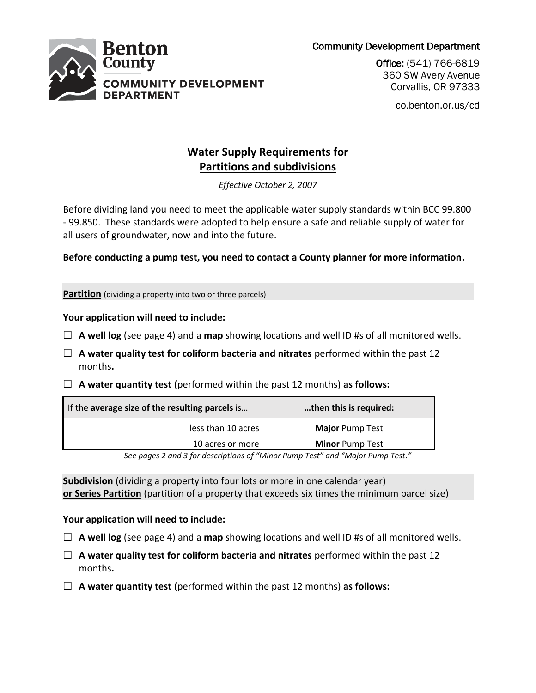Community Development Department



Office: (541) 766-6819 360 SW Avery Avenue Corvallis, OR 97333

co.benton.or.us/cd

# **Water Supply Requirements for Partitions and subdivisions**

*Effective October 2, 2007*

Before dividing land you need to meet the applicable water supply standards within BCC 99.800 - 99.850. These standards were adopted to help ensure a safe and reliable supply of water for all users of groundwater, now and into the future.

**Before conducting a pump test, you need to contact a County planner for more information.**

**Partition** (dividing a property into two or three parcels)

# **Your application will need to include:**

- $\Box$  **A well log** (see page 4) and a **map** showing locations and well ID #s of all monitored wells.
- **A water quality test for coliform bacteria and nitrates** performed within the past 12 months**.**
- **A water quantity test** (performed within the past 12 months) **as follows:**

| If the average size of the resulting parcels is | then this is required:                  |
|-------------------------------------------------|-----------------------------------------|
| less than 10 acres                              | <b>Major</b> Pump Test                  |
| 10 acres or more                                | <b>Minor Pump Test</b><br>_ ,,, ,,, , _ |

*See pages 2 and 3 for descriptions of "Minor Pump Test" and "Major Pump Test."*

**Subdivision** (dividing a property into four lots or more in one calendar year) **or Series Partition** (partition of a property that exceeds six times the minimum parcel size)

# **Your application will need to include:**

- $\Box$  **A well log** (see page 4) and a **map** showing locations and well ID #s of all monitored wells.
- **A water quality test for coliform bacteria and nitrates** performed within the past 12 months**.**
- **A water quantity test** (performed within the past 12 months) **as follows:**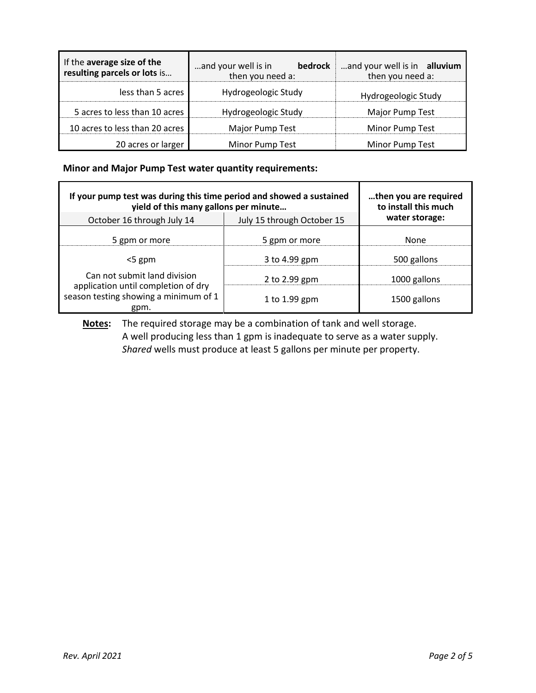| If the average size of the<br>resulting parcels or lots is | and your well is in<br>bedrock<br>then you need a: | and your well is in alluvium<br>then you need a: |
|------------------------------------------------------------|----------------------------------------------------|--------------------------------------------------|
| less than 5 acres                                          | Hydrogeologic Study                                | Hydrogeologic Study                              |
| 5 acres to less than 10 acres                              | Hydrogeologic Study                                | Major Pump Test                                  |
| 10 acres to less than 20 acres                             | Major Pump Test                                    | Minor Pump Test                                  |
| 20 acres or larger                                         | Minor Pump Test                                    | Minor Pump Test                                  |

### **Minor and Major Pump Test water quantity requirements:**

| If your pump test was during this time period and showed a sustained<br>yield of this many gallons per minute |                            | then you are required<br>to install this much |  |
|---------------------------------------------------------------------------------------------------------------|----------------------------|-----------------------------------------------|--|
| October 16 through July 14                                                                                    | July 15 through October 15 | water storage:                                |  |
| 5 gpm or more                                                                                                 | 5 gpm or more              | None                                          |  |
| $<$ 5 gpm                                                                                                     | 3 to 4.99 gpm              | 500 gallons                                   |  |
| Can not submit land division                                                                                  | 2 to 2.99 gpm              | 1000 gallons                                  |  |
| application until completion of dry<br>season testing showing a minimum of 1<br>gpm.                          | 1 to 1.99 gpm              | 1500 gallons                                  |  |

**Notes:** The required storage may be a combination of tank and well storage. A well producing less than 1 gpm is inadequate to serve as a water supply. *Shared* wells must produce at least 5 gallons per minute per property.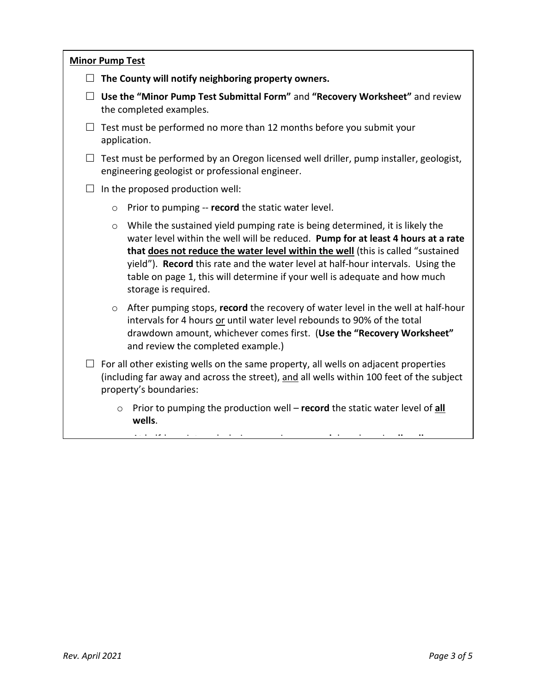|         | <b>Minor Pump Test</b>                                                                                                                                                                                                                                                                                                                                                                                                                       |
|---------|----------------------------------------------------------------------------------------------------------------------------------------------------------------------------------------------------------------------------------------------------------------------------------------------------------------------------------------------------------------------------------------------------------------------------------------------|
|         | $\Box$ The County will notify neighboring property owners.                                                                                                                                                                                                                                                                                                                                                                                   |
|         | $\Box$ Use the "Minor Pump Test Submittal Form" and "Recovery Worksheet" and review<br>the completed examples.                                                                                                                                                                                                                                                                                                                               |
|         | $\Box$ Test must be performed no more than 12 months before you submit your<br>application.                                                                                                                                                                                                                                                                                                                                                  |
|         | $\Box$ Test must be performed by an Oregon licensed well driller, pump installer, geologist,<br>engineering geologist or professional engineer.                                                                                                                                                                                                                                                                                              |
|         | $\Box$ In the proposed production well:                                                                                                                                                                                                                                                                                                                                                                                                      |
| $\circ$ | Prior to pumping -- record the static water level.                                                                                                                                                                                                                                                                                                                                                                                           |
| $\circ$ | While the sustained yield pumping rate is being determined, it is likely the<br>water level within the well will be reduced. Pump for at least 4 hours at a rate<br>that does not reduce the water level within the well (this is called "sustained<br>yield"). Record this rate and the water level at half-hour intervals. Using the<br>table on page 1, this will determine if your well is adequate and how much<br>storage is required. |
| $\circ$ | After pumping stops, record the recovery of water level in the well at half-hour<br>intervals for 4 hours or until water level rebounds to 90% of the total<br>drawdown amount, whichever comes first. (Use the "Recovery Worksheet"<br>and review the completed example.)                                                                                                                                                                   |
|         | $\Box$ For all other existing wells on the same property, all wells on adjacent properties<br>(including far away and across the street), and all wells within 100 feet of the subject<br>property's boundaries:                                                                                                                                                                                                                             |
|         | Prior to pumping the production well - record the static water level of all<br>$\circ$<br>wells.<br>$\mathcal{A}(\mathcal{A})$ and $\mathcal{A}(\mathcal{A})$ are the set of the set of the set of the set of the set of the set of the set of the set of the set of the set of the set of the set of the set of the set of the set of the set of the set                                                                                    |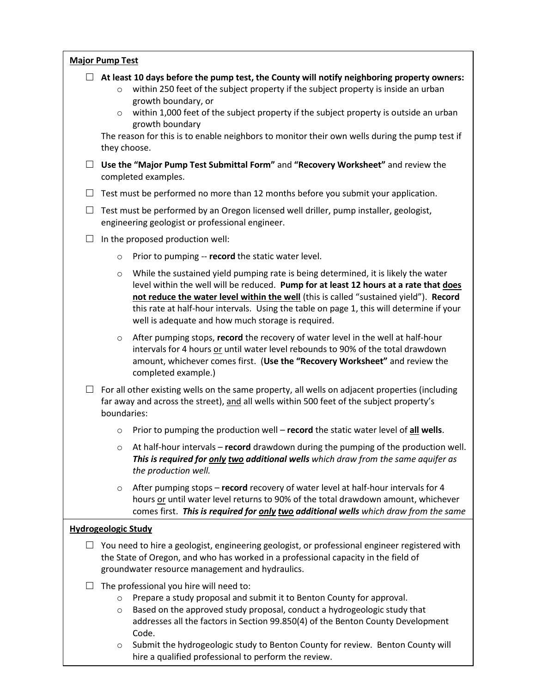| <b>Major Pump Test</b> |
|------------------------|
|------------------------|

- **At least 10 days before the pump test, the County will notify neighboring property owners:**
	- o within 250 feet of the subject property if the subject property is inside an urban growth boundary, or
	- $\circ$  within 1,000 feet of the subject property if the subject property is outside an urban growth boundary

The reason for this is to enable neighbors to monitor their own wells during the pump test if they choose.

- **Use the "Major Pump Test Submittal Form"** and **"Recovery Worksheet"** and review the completed examples.
- $\Box$  Test must be performed no more than 12 months before you submit your application.
- $\Box$  Test must be performed by an Oregon licensed well driller, pump installer, geologist, engineering geologist or professional engineer.
- $\Box$  In the proposed production well:
	- o Prior to pumping -- **record** the static water level.
	- $\circ$  While the sustained yield pumping rate is being determined, it is likely the water level within the well will be reduced. **Pump for at least 12 hours at a rate that does not reduce the water level within the well** (this is called "sustained yield"). **Record** this rate at half-hour intervals. Using the table on page 1, this will determine if your well is adequate and how much storage is required.
	- o After pumping stops, **record** the recovery of water level in the well at half-hour intervals for 4 hours or until water level rebounds to 90% of the total drawdown amount, whichever comes first. (**Use the "Recovery Worksheet"** and review the completed example.)
- $\Box$  For all other existing wells on the same property, all wells on adjacent properties (including far away and across the street), and all wells within 500 feet of the subject property's boundaries:
	- o Prior to pumping the production well **record** the static water level of **all wells**.
	- o At half-hour intervals **record** drawdown during the pumping of the production well. *This is required for only two additional wells which draw from the same aquifer as the production well.*
	- o After pumping stops **record** recovery of water level at half-hour intervals for 4 hours or until water level returns to 90% of the total drawdown amount, whichever comes first. *This is required for only two additional wells which draw from the same*

#### *aquifer as the production well.* **Hydrogeologic Study**

- Note: You do not have to monitor a well on a property on which the property owner has  $\Box$  You need to hire a geologist, engineering geologist, or professional engineer registered with groundwater resource management and hydraulics. the State of Oregon, and who has worked in a professional capacity in the field of
- $\Box$  The professional you hire will need to:
	- o Prepare a study proposal and submit it to Benton County for approval.
	- $\circ$  Based on the approved study proposal, conduct a hydrogeologic study that addresses all the factors in Section 99.850(4) of the Benton County Development Code.
- *Page 3 Page 4 Page 42 Page 42 Page 42 Page 42 perform the review.* o Submit the hydrogeologic study to Benton County for review. Benton County will